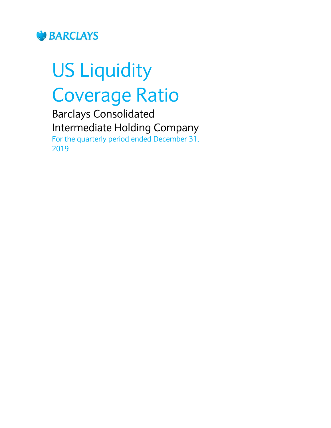

# US Liquidity Coverage Ratio

Barclays Consolidated Intermediate Holding Company For the quarterly period ended December 31, 2019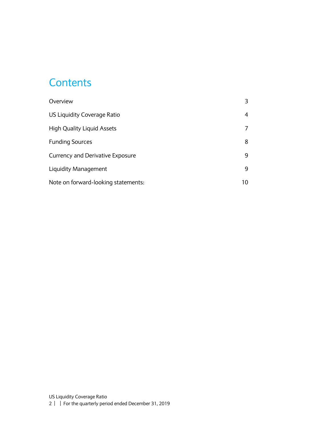#### **Contents**

| Overview                                |    |
|-----------------------------------------|----|
| US Liquidity Coverage Ratio             | 4  |
| <b>High Quality Liquid Assets</b>       |    |
| <b>Funding Sources</b>                  | 8  |
| <b>Currency and Derivative Exposure</b> | 9  |
| Liquidity Management                    | 9  |
| Note on forward-looking statements:     | 10 |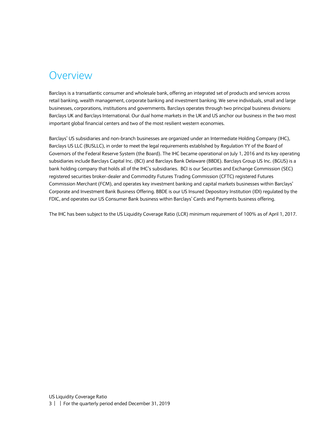#### <span id="page-2-0"></span>Overview

Barclays is a transatlantic consumer and wholesale bank, offering an integrated set of products and services across retail banking, wealth management, corporate banking and investment banking. We serve individuals, small and large businesses, corporations, institutions and governments. Barclays operates through two principal business divisions: Barclays UK and Barclays International. Our dual home markets in the UK and US anchor our business in the two most important global financial centers and two of the most resilient western economies.

Barclays' US subsidiaries and non-branch businesses are organized under an Intermediate Holding Company (IHC), Barclays US LLC (BUSLLC), in order to meet the legal requirements established by Regulation YY of the Board of Governors of the Federal Reserve System (the Board). The IHC became operational on July 1, 2016 and its key operating subsidiaries include Barclays Capital Inc. (BCI) and Barclays Bank Delaware (BBDE). Barclays Group US Inc. (BGUS) is a bank holding company that holds all of the IHC's subsidiaries. BCI is our Securities and Exchange Commission (SEC) registered securities broker-dealer and Commodity Futures Trading Commission (CFTC) registered Futures Commission Merchant (FCM), and operates key investment banking and capital markets businesses within Barclays' Corporate and Investment Bank Business Offering. BBDE is our US Insured Depository Institution (IDI) regulated by the FDIC, and operates our US Consumer Bank business within Barclays' Cards and Payments business offering.

The IHC has been subject to the US Liquidity Coverage Ratio (LCR) minimum requirement of 100% as of April 1, 2017.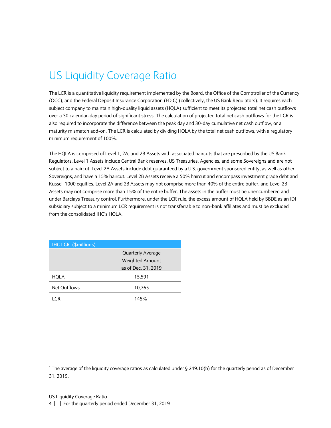## <span id="page-3-0"></span>US Liquidity Coverage Ratio

The LCR is a quantitative liquidity requirement implemented by the Board, the Office of the Comptroller of the Currency (OCC), and the Federal Deposit Insurance Corporation (FDIC) (collectively, the US Bank Regulators). It requires each subject company to maintain high-quality liquid assets (HQLA) sufficient to meet its projected total net cash outflows over a 30 calendar-day period of significant stress. The calculation of projected total net cash outflows for the LCR is also required to incorporate the difference between the peak day and 30-day cumulative net cash outflow, or a maturity mismatch add-on. The LCR is calculated by dividing HQLA by the total net cash outflows, with a regulatory minimum requirement of 100%.

The HQLA is comprised of Level 1, 2A, and 2B Assets with associated haircuts that are prescribed by the US Bank Regulators. Level 1 Assets include Central Bank reserves, US Treasuries, Agencies, and some Sovereigns and are not subject to a haircut. Level 2A Assets include debt guaranteed by a U.S. government sponsored entity, as well as other Sovereigns, and have a 15% haircut. Level 2B Assets receive a 50% haircut and encompass investment grade debt and Russell 1000 equities. Level 2A and 2B Assets may not comprise more than 40% of the entire buffer, and Level 2B Assets may not comprise more than 15% of the entire buffer. The assets in the buffer must be unencumbered and under Barclays Treasury control. Furthermore, under the LCR rule, the excess amount of HQLA held by BBDE as an IDI subsidiary subject to a minimum LCR requirement is not transferrable to non-bank affiliates and must be excluded from the consolidated IHC's HQLA.

| <b>IHC LCR (\$millions)</b> |                          |  |
|-----------------------------|--------------------------|--|
|                             | <b>Quarterly Average</b> |  |
|                             | <b>Weighted Amount</b>   |  |
|                             | as of Dec. 31, 2019      |  |
| HQLA                        | 15,591                   |  |
| Net Outflows                | 10,765                   |  |
| I CR                        | 145% <sup>1</sup>        |  |

<sup>1</sup> The average of the liquidity coverage ratios as calculated under § 249.10(b) for the quarterly period as of December 31, 2019.

4 | | For the quarterly period ended December 31, 2019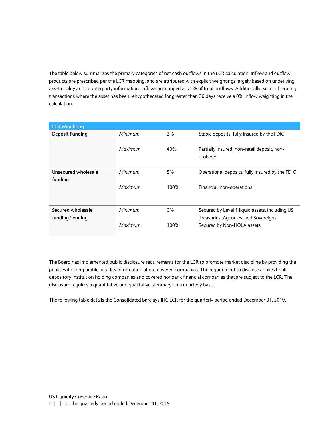The table below summarizes the primary categories of net cash outflows in the LCR calculation. Inflow and outflow products are prescribed per the LCR mapping, and are attributed with explicit weightings largely based on underlying asset quality and counterparty information. Inflows are capped at 75% of total outflows. Additionally, secured lending transactions where the asset has been rehypothecated for greater than 30 days receive a 0% inflow weighting in the calculation.

| <b>LCR Weighting</b>   |         |       |                                                         |
|------------------------|---------|-------|---------------------------------------------------------|
| <b>Deposit Funding</b> | Minimum | 3%    | Stable deposits, fully insured by the FDIC              |
|                        | Maximum | 40%   | Partially insured, non-retail deposit, non-<br>brokered |
| Unsecured wholesale    | Minimum | 5%    | Operational deposits, fully insured by the FDIC         |
| funding                | Maximum | 100%  | Financial, non-operational                              |
| Secured wholesale      | Minimum | $0\%$ | Secured by Level 1 liquid assets, including US          |
| funding/lending        |         |       | Treasuries, Agencies, and Sovereigns.                   |
|                        | Maximum | 100%  | Secured by Non-HQLA assets                              |

The Board has implemented public disclosure requirements for the LCR to promote market discipline by providing the public with comparable liquidity information about covered companies. The requirement to disclose applies to all depository institution holding companies and covered nonbank financial companies that are subject to the LCR. The disclosure requires a quantitative and qualitative summary on a quarterly basis.

The following table details the Consolidated Barclays IHC LCR for the quarterly period ended December 31, 2019.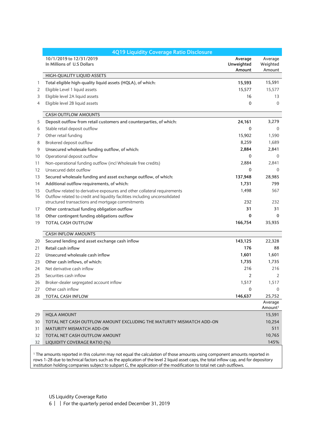|    | <b>4Q19 Liquidity Coverage Ratio Disclosure</b>                             |                                 |                                |
|----|-----------------------------------------------------------------------------|---------------------------------|--------------------------------|
|    | 10/1/2019 to 12/31/2019<br>In Millions of U.S Dollars                       | Average<br>Unweighted<br>Amount | Average<br>Weighted<br>Amount  |
|    | HIGH-QUALITY LIQUID ASSETS                                                  |                                 |                                |
| 1  | Total eligible high-quality liquid assets (HQLA), of which:                 | 15,593                          | 15,591                         |
| 2  | Eligible Level 1 liquid assets                                              | 15,577                          | 15,577                         |
| 3  | Eligible level 2A liquid assets                                             | 16                              | 13                             |
| 4  | Eligible level 2B liquid assets                                             | 0                               | $\Omega$                       |
|    | <b>CASH OUTFLOW AMOUNTS</b>                                                 |                                 |                                |
| 5  | Deposit outflow from retail customers and counterparties, of which:         | 24,161                          | 3,279                          |
| 6  | Stable retail deposit outflow                                               | $\mathbf 0$                     | $\Omega$                       |
| 7  | Other retail funding                                                        | 15,902                          | 1,590                          |
| 8  | Brokered deposit outflow                                                    | 8,259                           | 1,689                          |
| 9  | Unsecured wholesale funding outflow, of which:                              | 2,884                           | 2,841                          |
| 10 | Operational deposit outflow                                                 | 0                               | $\mathbf{0}$                   |
| 11 | Non-operational funding outflow (incl Wholesale free credits)               | 2,884                           | 2,841                          |
| 12 | Unsecured debt outflow                                                      | 0                               | $\mathbf{0}$                   |
| 13 | Secured wholesale funding and asset exchange outflow, of which:             | 137,948                         | 28,985                         |
| 14 | Additional outflow requirements, of which:                                  | 1,731                           | 799                            |
| 15 | Outflow related to derivative exposures and other collateral requirements   | 1,498                           | 567                            |
| 16 | Outflow related to credit and liquidity facilities including unconsolidated |                                 |                                |
|    | structured transactions and mortgage commitments                            | 232                             | 232                            |
| 17 | Other contractual funding obligation outflow                                | 31                              | 31                             |
| 18 | Other contingent funding obligations outflow                                | 0                               | $\mathbf{0}$                   |
| 19 | <b>TOTAL CASH OUTFLOW</b>                                                   | 166,754                         | 35,935                         |
|    | <b>CASH INFLOW AMOUNTS</b>                                                  |                                 |                                |
| 20 | Secured lending and asset exchange cash inflow                              | 143,125                         | 22,328                         |
| 21 | Retail cash inflow                                                          | 176                             | 88                             |
| 22 | Unsecured wholesale cash inflow                                             | 1,601                           | 1,601                          |
| 23 | Other cash inflows, of which:                                               | 1,735                           | 1,735                          |
| 24 | Net derivative cash inflow                                                  | 216                             | 216                            |
| 25 | Securities cash inflow                                                      | 2                               | 2                              |
| 26 | Broker-dealer segregated account inflow                                     | 1,517                           | 1,517                          |
| 27 | Other cash inflow                                                           | $\Omega$                        | $\Omega$                       |
| 28 | TOTAL CASH INFLOW                                                           | 146,637                         | 25,752                         |
|    |                                                                             |                                 | Average<br>Amount <sup>1</sup> |
| 29 | <b>HQLA AMOUNT</b>                                                          |                                 | 15,591                         |
| 30 | TOTAL NET CASH OUTFLOW AMOUNT EXCLUDING THE MATURITY MISMATCH ADD-ON        |                                 | 10,254                         |
| 31 | <b>MATURITY MISMATCH ADD-ON</b>                                             |                                 | 511                            |
| 32 | TOTAL NET CASH OUTFLOW AMOUNT                                               |                                 | 10,765                         |
| 32 | LIQUIDITY COVERAGE RATIO (%)                                                |                                 | 145%                           |

<sup>1</sup> The amounts reported in this column may not equal the calculation of those amounts using component amounts reported in rows 1-28 due to technical factors such as the application of the level 2 liquid asset caps, the total inflow cap, and for depository institution holding companies subject to subpart G, the application of the modification to total net cash outflows.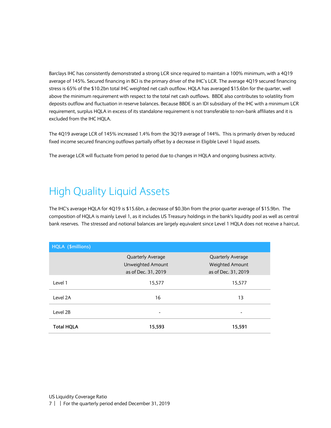Barclays IHC has consistently demonstrated a strong LCR since required to maintain a 100% minimum, with a 4Q19 average of 145%. Secured financing in BCI is the primary driver of the IHC's LCR. The average 4Q19 secured financing stress is 65% of the \$10.2bn total IHC weighted net cash outflow. HQLA has averaged \$15.6bn for the quarter, well above the minimum requirement with respect to the total net cash outflows. BBDE also contributes to volatility from deposits outflow and fluctuation in reserve balances. Because BBDE is an IDI subsidiary of the IHC with a minimum LCR requirement, surplus HQLA in excess of its standalone requirement is not transferable to non-bank affiliates and it is excluded from the IHC HQLA.

The 4Q19 average LCR of 145% increased 1.4% from the 3Q19 average of 144%. This is primarily driven by reduced fixed income secured financing outflows partially offset by a decrease in Eligible Level 1 liquid assets.

The average LCR will fluctuate from period to period due to changes in HQLA and ongoing business activity.

## <span id="page-6-0"></span>High Quality Liquid Assets

The IHC's average HQLA for 4Q19 is \$15.6bn, a decrease of \$0.3bn from the prior quarter average of \$15.9bn. The composition of HQLA is mainly Level 1, as it includes US Treasury holdings in the bank's liquidity pool as well as central bank reserves. The stressed and notional balances are largely equivalent since Level 1 HQLA does not receive a haircut.

| HQLA (\$millions) |                     |                          |  |
|-------------------|---------------------|--------------------------|--|
|                   | Quarterly Average   | <b>Quarterly Average</b> |  |
|                   | Unweighted Amount   | <b>Weighted Amount</b>   |  |
|                   | as of Dec. 31, 2019 | as of Dec. 31, 2019      |  |
| Level 1           | 15,577              | 15,577                   |  |
| Level 2A          | 16                  | 13                       |  |
| Level 2B          |                     |                          |  |
| <b>Total HQLA</b> | 15,593              | 15,591                   |  |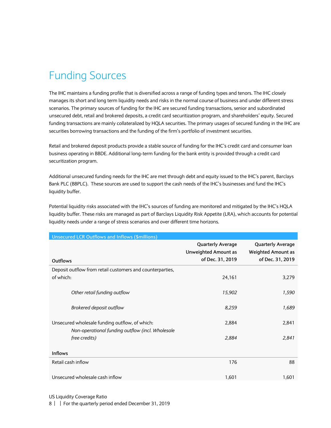## <span id="page-7-0"></span>Funding Sources

The IHC maintains a funding profile that is diversified across a range of funding types and tenors. The IHC closely manages its short and long term liquidity needs and risks in the normal course of business and under different stress scenarios. The primary sources of funding for the IHC are secured funding transactions, senior and subordinated unsecured debt, retail and brokered deposits, a credit card securitization program, and shareholders' equity. Secured funding transactions are mainly collateralized by HQLA securities. The primary usages of secured funding in the IHC are securities borrowing transactions and the funding of the firm's portfolio of investment securities.

Retail and brokered deposit products provide a stable source of funding for the IHC's credit card and consumer loan business operating in BBDE. Additional long-term funding for the bank entity is provided through a credit card securitization program.

Additional unsecured funding needs for the IHC are met through debt and equity issued to the IHC's parent, Barclays Bank PLC (BBPLC). These sources are used to support the cash needs of the IHC's businesses and fund the IHC's liquidity buffer.

Potential liquidity risks associated with the IHC's sources of funding are monitored and mitigated by the IHC's HQLA liquidity buffer. These risks are managed as part of Barclays Liquidity Risk Appetite (LRA), which accounts for potential liquidity needs under a range of stress scenarios and over different time horizons.

| <b>Unsecured LCR Outflows and Inflows (\$millions)</b>                                             |                                                                             |                                                                           |
|----------------------------------------------------------------------------------------------------|-----------------------------------------------------------------------------|---------------------------------------------------------------------------|
| Outflows                                                                                           | <b>Quarterly Average</b><br><b>Unweighted Amount as</b><br>of Dec. 31, 2019 | <b>Quarterly Average</b><br><b>Weighted Amount as</b><br>of Dec. 31, 2019 |
| Deposit outflow from retail customers and counterparties,                                          |                                                                             |                                                                           |
| of which:                                                                                          | 24,161                                                                      | 3,279                                                                     |
| Other retail funding outflow                                                                       | 15,902                                                                      | 1,590                                                                     |
| Brokered deposit outflow                                                                           | 8,259                                                                       | 1,689                                                                     |
| Unsecured wholesale funding outflow, of which:<br>Non-operational funding outflow (incl. Wholesale | 2,884                                                                       | 2,841                                                                     |
| free credits)                                                                                      | 2,884                                                                       | 2,841                                                                     |
| <b>Inflows</b>                                                                                     |                                                                             |                                                                           |
| Retail cash inflow                                                                                 | 176                                                                         | 88                                                                        |
| Unsecured wholesale cash inflow                                                                    | 1,601                                                                       | 1,601                                                                     |

US Liquidity Coverage Ratio

8 | | For the quarterly period ended December 31, 2019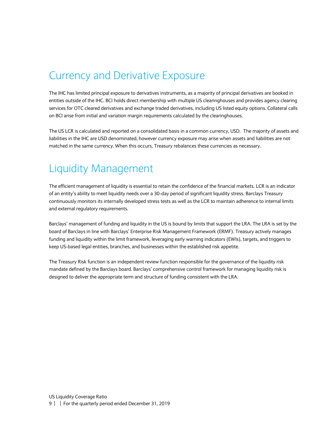#### <span id="page-8-0"></span>Currency and Derivative Exposure

The IHC has limited principal exposure to derivatives instruments, as a majority of principal derivatives are booked in entities outside of the IHC. BCI holds direct membership with multiple US clearinghouses and provides agency clearing services for OTC cleared derivatives and exchange traded derivatives, including US listed equity options. Collateral calls on BCI arise from initial and variation margin requirements calculated by the clearinghouses.

The US LCR is calculated and reported on a consolidated basis in a common currency, USD. The majority of assets and liabilities in the IHC are USD denominated, however currency exposure may arise when assets and liabilities are not matched in the same currency. When this occurs, Treasury rebalances these currencies as necessary.

#### <span id="page-8-1"></span>Liquidity Management

The efficient management of liquidity is essential to retain the confidence of the financial markets. LCR is an indicator of an entity's ability to meet liquidity needs over a 30-day period of significant liquidity stress. Barclays Treasury continuously monitors its internally developed stress tests as well as the LCR to maintain adherence to internal limits and external regulatory requirements.

Barclays' management of funding and liquidity in the US is bound by limits that support the LRA. The LRA is set by the board of Barclays in line with Barclays' Enterprise Risk Management Framework (ERMF). Treasury actively manages funding and liquidity within the limit framework, leveraging early warning indicators (EWIs), targets, and triggers to keep US-based legal entities, branches, and businesses within the established risk appetite.

The Treasury Risk function is an independent review function responsible for the governance of the liquidity risk mandate defined by the Barclays board. Barclays' comprehensive control framework for managing liquidity risk is designed to deliver the appropriate term and structure of funding consistent with the LRA.